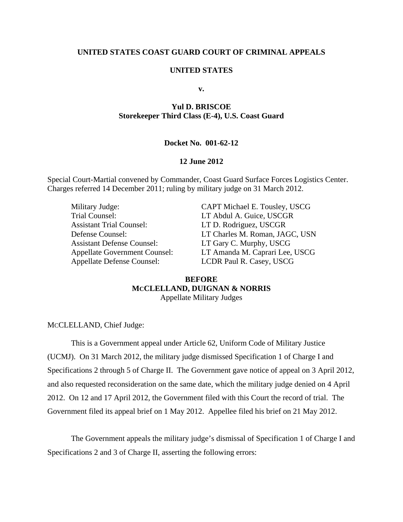## **UNITED STATES COAST GUARD COURT OF CRIMINAL APPEALS**

### **UNITED STATES**

**v.** 

# **Yul D. BRISCOE Storekeeper Third Class (E-4), U.S. Coast Guard**

## **Docket No. 001-62-12**

### **12 June 2012**

Special Court-Martial convened by Commander, Coast Guard Surface Forces Logistics Center. Charges referred 14 December 2011; ruling by military judge on 31 March 2012.

Military Judge: CAPT Michael E. Tousley, USCG Trial Counsel: LT Abdul A. Guice, USCGR Assistant Trial Counsel: LT D. Rodriguez, USCGR Assistant Defense Counsel: LT Gary C. Murphy, USCG Appellate Defense Counsel: LCDR Paul R. Casey, USCG

Defense Counsel: LT Charles M. Roman, JAGC, USN Appellate Government Counsel: LT Amanda M. Caprari Lee, USCG

## **BEFORE MCCLELLAND, DUIGNAN & NORRIS**  Appellate Military Judges

MCCLELLAND, Chief Judge:

This is a Government appeal under Article 62, Uniform Code of Military Justice (UCMJ). On 31 March 2012, the military judge dismissed Specification 1 of Charge I and Specifications 2 through 5 of Charge II. The Government gave notice of appeal on 3 April 2012, and also requested reconsideration on the same date, which the military judge denied on 4 April 2012. On 12 and 17 April 2012, the Government filed with this Court the record of trial. The Government filed its appeal brief on 1 May 2012. Appellee filed his brief on 21 May 2012.

The Government appeals the military judge's dismissal of Specification 1 of Charge I and Specifications 2 and 3 of Charge II, asserting the following errors: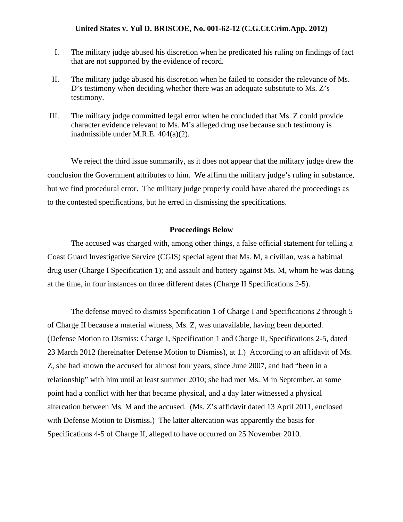- I. The military judge abused his discretion when he predicated his ruling on findings of fact that are not supported by the evidence of record.
- II. The military judge abused his discretion when he failed to consider the relevance of Ms. D's testimony when deciding whether there was an adequate substitute to Ms. Z's testimony.
- III. The military judge committed legal error when he concluded that Ms. Z could provide character evidence relevant to Ms. M's alleged drug use because such testimony is inadmissible under M.R.E. 404(a)(2).

We reject the third issue summarily, as it does not appear that the military judge drew the conclusion the Government attributes to him. We affirm the military judge's ruling in substance, but we find procedural error. The military judge properly could have abated the proceedings as to the contested specifications, but he erred in dismissing the specifications.

### **Proceedings Below**

The accused was charged with, among other things, a false official statement for telling a Coast Guard Investigative Service (CGIS) special agent that Ms. M, a civilian, was a habitual drug user (Charge I Specification 1); and assault and battery against Ms. M, whom he was dating at the time, in four instances on three different dates (Charge II Specifications 2-5).

The defense moved to dismiss Specification 1 of Charge I and Specifications 2 through 5 of Charge II because a material witness, Ms. Z, was unavailable, having been deported. (Defense Motion to Dismiss: Charge I, Specification 1 and Charge II, Specifications 2-5, dated 23 March 2012 (hereinafter Defense Motion to Dismiss), at 1.) According to an affidavit of Ms. Z, she had known the accused for almost four years, since June 2007, and had "been in a relationship" with him until at least summer 2010; she had met Ms. M in September, at some point had a conflict with her that became physical, and a day later witnessed a physical altercation between Ms. M and the accused. (Ms. Z's affidavit dated 13 April 2011, enclosed with Defense Motion to Dismiss.) The latter altercation was apparently the basis for Specifications 4-5 of Charge II, alleged to have occurred on 25 November 2010.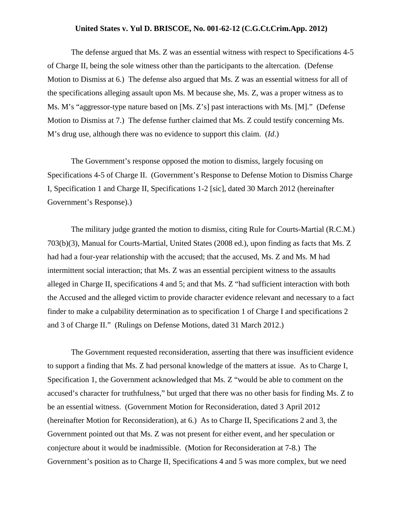The defense argued that Ms. Z was an essential witness with respect to Specifications 4-5 of Charge II, being the sole witness other than the participants to the altercation. (Defense Motion to Dismiss at 6.) The defense also argued that Ms. Z was an essential witness for all of the specifications alleging assault upon Ms. M because she, Ms. Z, was a proper witness as to Ms. M's "aggressor-type nature based on [Ms. Z's] past interactions with Ms. [M]." (Defense Motion to Dismiss at 7.) The defense further claimed that Ms. Z could testify concerning Ms. M's drug use, although there was no evidence to support this claim. (*Id*.)

The Government's response opposed the motion to dismiss, largely focusing on Specifications 4-5 of Charge II. (Government's Response to Defense Motion to Dismiss Charge I, Specification 1 and Charge II, Specifications 1-2 [sic], dated 30 March 2012 (hereinafter Government's Response).)

The military judge granted the motion to dismiss, citing Rule for Courts-Martial (R.C.M.) 703(b)(3), Manual for Courts-Martial, United States (2008 ed.), upon finding as facts that Ms. Z had had a four-year relationship with the accused; that the accused, Ms. Z and Ms. M had intermittent social interaction; that Ms. Z was an essential percipient witness to the assaults alleged in Charge II, specifications 4 and 5; and that Ms. Z "had sufficient interaction with both the Accused and the alleged victim to provide character evidence relevant and necessary to a fact finder to make a culpability determination as to specification 1 of Charge I and specifications 2 and 3 of Charge II." (Rulings on Defense Motions, dated 31 March 2012.)

The Government requested reconsideration, asserting that there was insufficient evidence to support a finding that Ms. Z had personal knowledge of the matters at issue. As to Charge I, Specification 1, the Government acknowledged that Ms. Z "would be able to comment on the accused's character for truthfulness," but urged that there was no other basis for finding Ms. Z to be an essential witness. (Government Motion for Reconsideration, dated 3 April 2012 (hereinafter Motion for Reconsideration), at 6.) As to Charge II, Specifications 2 and 3, the Government pointed out that Ms. Z was not present for either event, and her speculation or conjecture about it would be inadmissible. (Motion for Reconsideration at 7-8.) The Government's position as to Charge II, Specifications 4 and 5 was more complex, but we need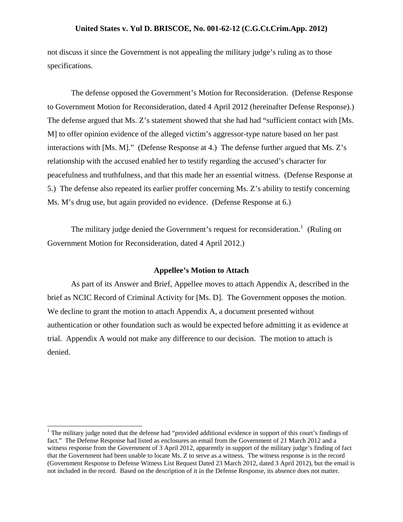not discuss it since the Government is not appealing the military judge's ruling as to those specifications.

The defense opposed the Government's Motion for Reconsideration. (Defense Response to Government Motion for Reconsideration, dated 4 April 2012 (hereinafter Defense Response).) The defense argued that Ms. Z's statement showed that she had had "sufficient contact with [Ms. M] to offer opinion evidence of the alleged victim's aggressor-type nature based on her past interactions with [Ms. M]." (Defense Response at 4.) The defense further argued that Ms. Z's relationship with the accused enabled her to testify regarding the accused's character for peacefulness and truthfulness, and that this made her an essential witness. (Defense Response at 5.) The defense also repeated its earlier proffer concerning Ms. Z's ability to testify concerning Ms. M's drug use, but again provided no evidence. (Defense Response at 6.)

The military judge denied the Government's request for reconsideration.<sup>[1](#page-3-0)</sup> (Ruling on Government Motion for Reconsideration, dated 4 April 2012.)

#### **Appellee's Motion to Attach**

As part of its Answer and Brief, Appellee moves to attach Appendix A, described in the brief as NCIC Record of Criminal Activity for [Ms. D]. The Government opposes the motion. We decline to grant the motion to attach Appendix A, a document presented without authentication or other foundation such as would be expected before admitting it as evidence at trial. Appendix A would not make any difference to our decision. The motion to attach is denied.

<span id="page-3-0"></span><sup>&</sup>lt;sup>1</sup> The military judge noted that the defense had "provided additional evidence in support of this court's findings of fact." The Defense Response had listed as enclosures an email from the Government of 21 March 2012 and a witness response from the Government of 3 April 2012, apparently in support of the military judge's finding of fact that the Government had been unable to locate Ms. Z to serve as a witness. The witness response is in the record (Government Response to Defense Witness List Request Dated 23 March 2012, dated 3 April 2012), but the email is not included in the record. Based on the description of it in the Defense Response, its absence does not matter.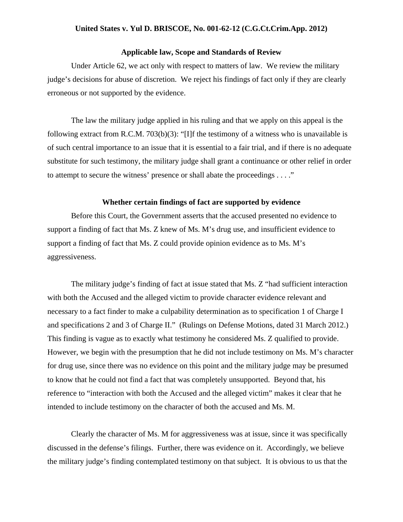## **Applicable law, Scope and Standards of Review**

Under Article 62, we act only with respect to matters of law. We review the military judge's decisions for abuse of discretion. We reject his findings of fact only if they are clearly erroneous or not supported by the evidence.

The law the military judge applied in his ruling and that we apply on this appeal is the following extract from R.C.M. 703(b)(3): "[I]f the testimony of a witness who is unavailable is of such central importance to an issue that it is essential to a fair trial, and if there is no adequate substitute for such testimony, the military judge shall grant a continuance or other relief in order to attempt to secure the witness' presence or shall abate the proceedings . . . ."

#### **Whether certain findings of fact are supported by evidence**

Before this Court, the Government asserts that the accused presented no evidence to support a finding of fact that Ms. Z knew of Ms. M's drug use, and insufficient evidence to support a finding of fact that Ms. Z could provide opinion evidence as to Ms. M's aggressiveness.

The military judge's finding of fact at issue stated that Ms. Z "had sufficient interaction with both the Accused and the alleged victim to provide character evidence relevant and necessary to a fact finder to make a culpability determination as to specification 1 of Charge I and specifications 2 and 3 of Charge II." (Rulings on Defense Motions, dated 31 March 2012.) This finding is vague as to exactly what testimony he considered Ms. Z qualified to provide. However, we begin with the presumption that he did not include testimony on Ms. M's character for drug use, since there was no evidence on this point and the military judge may be presumed to know that he could not find a fact that was completely unsupported. Beyond that, his reference to "interaction with both the Accused and the alleged victim" makes it clear that he intended to include testimony on the character of both the accused and Ms. M.

Clearly the character of Ms. M for aggressiveness was at issue, since it was specifically discussed in the defense's filings. Further, there was evidence on it. Accordingly, we believe the military judge's finding contemplated testimony on that subject. It is obvious to us that the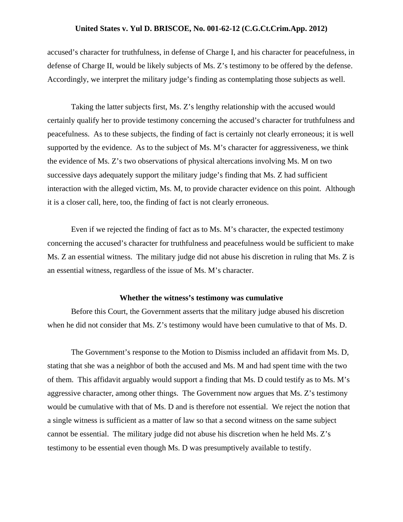accused's character for truthfulness, in defense of Charge I, and his character for peacefulness, in defense of Charge II, would be likely subjects of Ms. Z's testimony to be offered by the defense. Accordingly, we interpret the military judge's finding as contemplating those subjects as well.

Taking the latter subjects first, Ms. Z's lengthy relationship with the accused would certainly qualify her to provide testimony concerning the accused's character for truthfulness and peacefulness. As to these subjects, the finding of fact is certainly not clearly erroneous; it is well supported by the evidence. As to the subject of Ms. M's character for aggressiveness, we think the evidence of Ms. Z's two observations of physical altercations involving Ms. M on two successive days adequately support the military judge's finding that Ms. Z had sufficient interaction with the alleged victim, Ms. M, to provide character evidence on this point. Although it is a closer call, here, too, the finding of fact is not clearly erroneous.

Even if we rejected the finding of fact as to Ms. M's character, the expected testimony concerning the accused's character for truthfulness and peacefulness would be sufficient to make Ms. Z an essential witness. The military judge did not abuse his discretion in ruling that Ms. Z is an essential witness, regardless of the issue of Ms. M's character.

#### **Whether the witness's testimony was cumulative**

Before this Court, the Government asserts that the military judge abused his discretion when he did not consider that Ms. Z's testimony would have been cumulative to that of Ms. D.

The Government's response to the Motion to Dismiss included an affidavit from Ms. D, stating that she was a neighbor of both the accused and Ms. M and had spent time with the two of them. This affidavit arguably would support a finding that Ms. D could testify as to Ms. M's aggressive character, among other things. The Government now argues that Ms. Z's testimony would be cumulative with that of Ms. D and is therefore not essential. We reject the notion that a single witness is sufficient as a matter of law so that a second witness on the same subject cannot be essential. The military judge did not abuse his discretion when he held Ms. Z's testimony to be essential even though Ms. D was presumptively available to testify.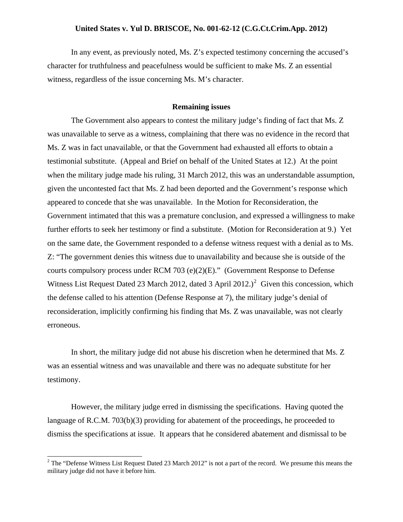In any event, as previously noted, Ms. Z's expected testimony concerning the accused's character for truthfulness and peacefulness would be sufficient to make Ms. Z an essential witness, regardless of the issue concerning Ms. M's character.

#### **Remaining issues**

The Government also appears to contest the military judge's finding of fact that Ms. Z was unavailable to serve as a witness, complaining that there was no evidence in the record that Ms. Z was in fact unavailable, or that the Government had exhausted all efforts to obtain a testimonial substitute. (Appeal and Brief on behalf of the United States at 12.) At the point when the military judge made his ruling, 31 March 2012, this was an understandable assumption, given the uncontested fact that Ms. Z had been deported and the Government's response which appeared to concede that she was unavailable. In the Motion for Reconsideration, the Government intimated that this was a premature conclusion, and expressed a willingness to make further efforts to seek her testimony or find a substitute. (Motion for Reconsideration at 9.) Yet on the same date, the Government responded to a defense witness request with a denial as to Ms. Z: "The government denies this witness due to unavailability and because she is outside of the courts compulsory process under RCM 703 (e)(2)(E)." (Government Response to Defense Witness List Request Dated [2](#page-6-0)3 March 2012, dated 3 April 2012.)<sup>2</sup> Given this concession, which the defense called to his attention (Defense Response at 7), the military judge's denial of reconsideration, implicitly confirming his finding that Ms. Z was unavailable, was not clearly erroneous.

In short, the military judge did not abuse his discretion when he determined that Ms. Z was an essential witness and was unavailable and there was no adequate substitute for her testimony.

However, the military judge erred in dismissing the specifications. Having quoted the language of R.C.M. 703(b)(3) providing for abatement of the proceedings, he proceeded to dismiss the specifications at issue. It appears that he considered abatement and dismissal to be

<span id="page-6-0"></span><sup>&</sup>lt;sup>2</sup> The "Defense Witness List Request Dated 23 March 2012" is not a part of the record. We presume this means the military judge did not have it before him.